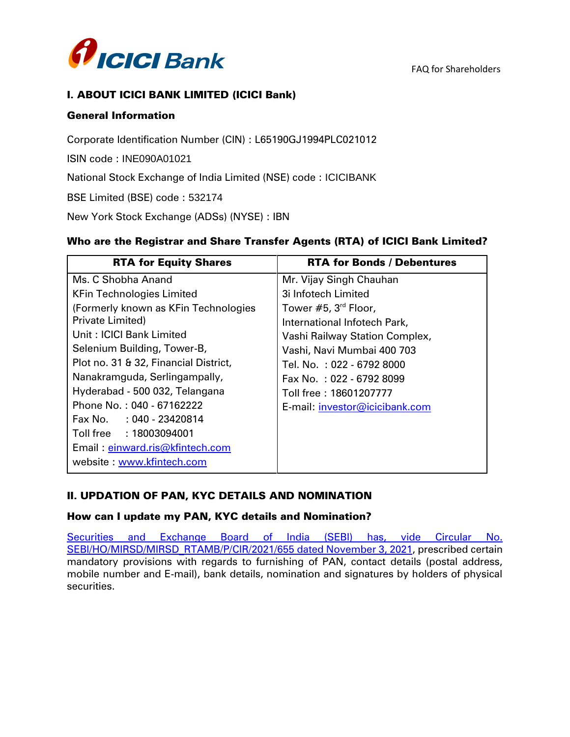

# I. ABOUT ICICI BANK LIMITED (ICICI Bank)

### General Information

Corporate Identification Number (CIN) : L65190GJ1994PLC021012

ISIN code : INE090A01021

National Stock Exchange of India Limited (NSE) code : ICICIBANK

BSE Limited (BSE) code : 532174

New York Stock Exchange (ADSs) (NYSE) : IBN

### Who are the Registrar and Share Transfer Agents (RTA) of ICICI Bank Limited?

| <b>RTA for Equity Shares</b>          | <b>RTA for Bonds / Debentures</b> |
|---------------------------------------|-----------------------------------|
| Ms. C Shobha Anand                    | Mr. Vijay Singh Chauhan           |
| <b>KFin Technologies Limited</b>      | 3i Infotech Limited               |
| (Formerly known as KFin Technologies  | Tower #5, 3 <sup>rd</sup> Floor,  |
| Private Limited)                      | International Infotech Park,      |
| Unit: ICICI Bank Limited              | Vashi Railway Station Complex,    |
| Selenium Building, Tower-B,           | Vashi, Navi Mumbai 400 703        |
| Plot no. 31 & 32, Financial District, | Tel. No. :022 - 6792 8000         |
| Nanakramguda, Serlingampally,         | Fax No.: 022 - 6792 8099          |
| Hyderabad - 500 032, Telangana        | Toll free:18601207777             |
| Phone No.: 040 - 67162222             | E-mail: investor@icicibank.com    |
| Fax No.<br>: 040 - 23420814           |                                   |
| Toll free : 18003094001               |                                   |
| Email: einward.ris@kfintech.com       |                                   |
| website: www.kfintech.com             |                                   |

# II. UPDATION OF PAN, KYC DETAILS AND NOMINATION

#### How can I update my PAN, KYC details and Nomination?

Securities and Exchange Board of India (SEBI) has, vide Circular No. [SEBI/HO/MIRSD/MIRSD\\_RTAMB/P/CIR/2021/655 dated November 3, 2021,](https://www.sebi.gov.in/legal/circulars/dec-2021/clarifications-with-respect-to-circular-dated-november-03-2021-on-common-and-simplified-norms-for-processing-investor-s-service-request-by-rtas-and-norms-for-furnishing-pan-kyc-details-_54602.html) prescribed certain mandatory provisions with regards to furnishing of PAN, contact details (postal address, mobile number and E-mail), bank details, nomination and signatures by holders of physical securities.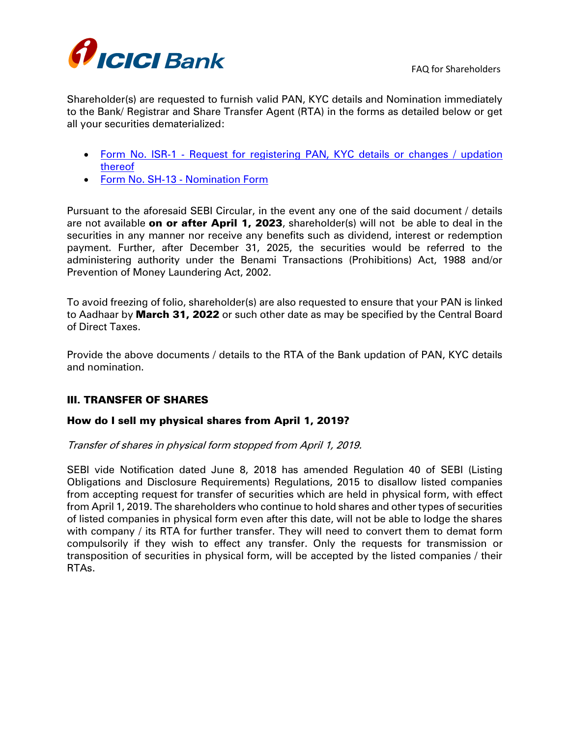

Shareholder(s) are requested to furnish valid PAN, KYC details and Nomination immediately to the Bank/ Registrar and Share Transfer Agent (RTA) in the forms as detailed below or get all your securities dematerialized:

- Form No. ISR-1 Request for [registering](file://///10.78.12.64/Ranganath%20Athreya/Prashant%20Mistry/RTA/SEBI%20Circular_Nov_3_2021_Mandatory%20furnishing%20of%20PAN,%20KYC%20details%20and%20Nomination%20by%20holder%20of%20physical%20securities/Form%20ISR-1_Request%20for%20Registering%20PAN-KYC%20details.pdf) PAN, KYC details or changes / updation [thereof](file://///10.78.12.64/Ranganath%20Athreya/Prashant%20Mistry/RTA/SEBI%20Circular_Nov_3_2021_Mandatory%20furnishing%20of%20PAN,%20KYC%20details%20and%20Nomination%20by%20holder%20of%20physical%20securities/Form%20ISR-1_Request%20for%20Registering%20PAN-KYC%20details.pdf)
- Form No. SH-13 [Nomination](file://///10.78.12.64/Ranganath%20Athreya/Prashant%20Mistry/RTA/SEBI%20Circular_Nov_3_2021_Mandatory%20furnishing%20of%20PAN,%20KYC%20details%20and%20Nomination%20by%20holder%20of%20physical%20securities/Form%20SH-13_Nomination%20Form.pdf) Form

Pursuant to the aforesaid SEBI Circular, in the event any one of the said document / details are not available on or after April 1, 2023, shareholder(s) will not be able to deal in the securities in any manner nor receive any benefits such as dividend, interest or redemption payment. Further, after December 31, 2025, the securities would be referred to the administering authority under the Benami Transactions (Prohibitions) Act, 1988 and/or Prevention of Money Laundering Act, 2002.

To avoid freezing of folio, shareholder(s) are also requested to ensure that your PAN is linked to Aadhaar by **March 31, 2022** or such other date as may be specified by the Central Board of Direct Taxes.

Provide the above documents / details to the RTA of the Bank updation of PAN, KYC details and nomination.

# III. TRANSFER OF SHARES

# How do I sell my physical shares from April 1, 2019?

Transfer of shares in physical form stopped from April 1, 2019.

SEBI vide Notification dated June 8, 2018 has amended Regulation 40 of SEBI (Listing Obligations and Disclosure Requirements) Regulations, 2015 to disallow listed companies from accepting request for transfer of securities which are held in physical form, with effect from April 1, 2019. The shareholders who continue to hold shares and other types of securities of listed companies in physical form even after this date, will not be able to lodge the shares with company / its RTA for further transfer. They will need to convert them to demat form compulsorily if they wish to effect any transfer. Only the requests for transmission or transposition of securities in physical form, will be accepted by the listed companies / their RTAs.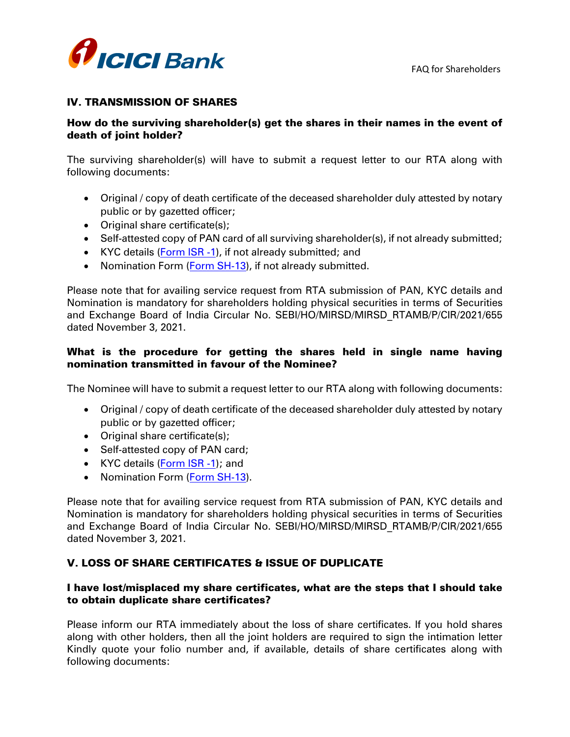

# IV. TRANSMISSION OF SHARES

# How do the surviving shareholder(s) get the shares in their names in the event of death of joint holder?

The surviving shareholder(s) will have to submit a request letter to our RTA along with following documents:

- Original / copy of death certificate of the deceased shareholder duly attested by notary public or by gazetted officer;
- Original share certificate(s);
- Self-attested copy of PAN card of all surviving shareholder(s), if not already submitted;
- KYC details [\(Form ISR -1\)](file://///10.78.12.64/Ranganath%20Athreya/Prashant%20Mistry/RTA/SEBI%20Circular_Nov_3_2021_Mandatory%20furnishing%20of%20PAN,%20KYC%20details%20and%20Nomination%20by%20holder%20of%20physical%20securities/Form%20ISR-1_Request%20for%20Registering%20PAN-KYC%20details.pdf), if not already submitted; and
- Nomination Form [\(Form SH-13\)](file://///10.78.12.64/Ranganath%20Athreya/Prashant%20Mistry/RTA/SEBI%20Circular_Nov_3_2021_Mandatory%20furnishing%20of%20PAN,%20KYC%20details%20and%20Nomination%20by%20holder%20of%20physical%20securities/Form%20SH-13_Nomination%20Form.pdf), if not already submitted.

Please note that for availing service request from RTA submission of PAN, KYC details and Nomination is mandatory for shareholders holding physical securities in terms of Securities and Exchange Board of India Circular No. SEBI/HO/MIRSD/MIRSD\_RTAMB/P/CIR/2021/655 dated November 3, 2021.

# What is the procedure for getting the shares held in single name having nomination transmitted in favour of the Nominee?

The Nominee will have to submit a request letter to our RTA along with following documents:

- Original / copy of death certificate of the deceased shareholder duly attested by notary public or by gazetted officer;
- Original share certificate(s);
- Self-attested copy of PAN card;
- KYC details [\(Form ISR -1\)](file://///10.78.12.64/Ranganath%20Athreya/Prashant%20Mistry/RTA/SEBI%20Circular_Nov_3_2021_Mandatory%20furnishing%20of%20PAN,%20KYC%20details%20and%20Nomination%20by%20holder%20of%20physical%20securities/Form%20ISR-1_Request%20for%20Registering%20PAN-KYC%20details.pdf); and
- Nomination Form [\(Form SH-13\)](file://///10.78.12.64/Ranganath%20Athreya/Prashant%20Mistry/RTA/SEBI%20Circular_Nov_3_2021_Mandatory%20furnishing%20of%20PAN,%20KYC%20details%20and%20Nomination%20by%20holder%20of%20physical%20securities/Form%20SH-13_Nomination%20Form.pdf).

Please note that for availing service request from RTA submission of PAN, KYC details and Nomination is mandatory for shareholders holding physical securities in terms of Securities and Exchange Board of India Circular No. SEBI/HO/MIRSD/MIRSD\_RTAMB/P/CIR/2021/655 dated November 3, 2021.

# V. LOSS OF SHARE CERTIFICATES & ISSUE OF DUPLICATE

# I have lost/misplaced my share certificates, what are the steps that I should take to obtain duplicate share certificates?

Please inform our RTA immediately about the loss of share certificates. If you hold shares along with other holders, then all the joint holders are required to sign the intimation letter Kindly quote your folio number and, if available, details of share certificates along with following documents: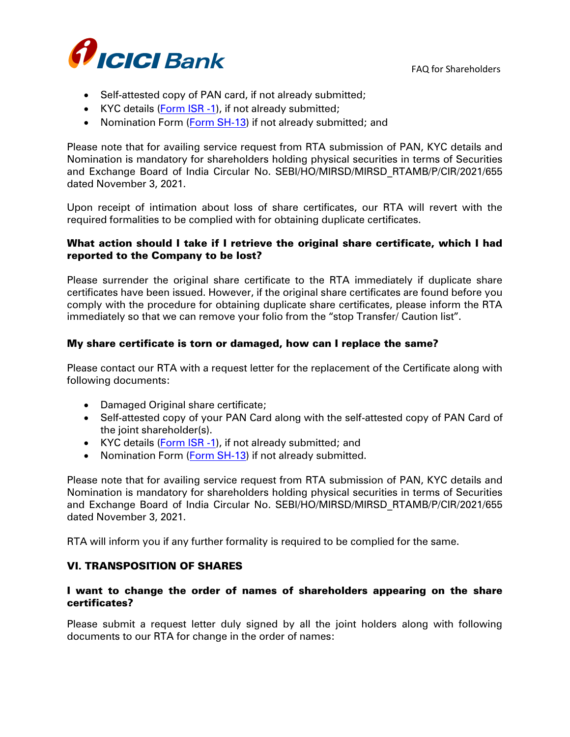

- Self-attested copy of PAN card, if not already submitted;
- KYC details [\(Form ISR -1\)](file://///10.78.12.64/Ranganath%20Athreya/Prashant%20Mistry/RTA/SEBI%20Circular_Nov_3_2021_Mandatory%20furnishing%20of%20PAN,%20KYC%20details%20and%20Nomination%20by%20holder%20of%20physical%20securities/Form%20ISR-1_Request%20for%20Registering%20PAN-KYC%20details.pdf), if not already submitted;
- Nomination Form [\(Form SH-13\)](file://///10.78.12.64/Ranganath%20Athreya/Prashant%20Mistry/RTA/SEBI%20Circular_Nov_3_2021_Mandatory%20furnishing%20of%20PAN,%20KYC%20details%20and%20Nomination%20by%20holder%20of%20physical%20securities/Form%20SH-13_Nomination%20Form.pdf) if not already submitted; and

Please note that for availing service request from RTA submission of PAN, KYC details and Nomination is mandatory for shareholders holding physical securities in terms of Securities and Exchange Board of India Circular No. SEBI/HO/MIRSD/MIRSD\_RTAMB/P/CIR/2021/655 dated November 3, 2021.

Upon receipt of intimation about loss of share certificates, our RTA will revert with the required formalities to be complied with for obtaining duplicate certificates.

### What action should I take if I retrieve the original share certificate, which I had reported to the Company to be lost?

Please surrender the original share certificate to the RTA immediately if duplicate share certificates have been issued. However, if the original share certificates are found before you comply with the procedure for obtaining duplicate share certificates, please inform the RTA immediately so that we can remove your folio from the "stop Transfer/ Caution list".

### My share certificate is torn or damaged, how can I replace the same?

Please contact our RTA with a request letter for the replacement of the Certificate along with following documents:

- Damaged Original share certificate;
- Self-attested copy of your PAN Card along with the self-attested copy of PAN Card of the joint shareholder(s).
- KYC details [\(Form ISR -1\)](file://///10.78.12.64/Ranganath%20Athreya/Prashant%20Mistry/RTA/SEBI%20Circular_Nov_3_2021_Mandatory%20furnishing%20of%20PAN,%20KYC%20details%20and%20Nomination%20by%20holder%20of%20physical%20securities/Form%20ISR-1_Request%20for%20Registering%20PAN-KYC%20details.pdf), if not already submitted; and
- Nomination Form [\(Form SH-13\)](file://///10.78.12.64/Ranganath%20Athreya/Prashant%20Mistry/RTA/SEBI%20Circular_Nov_3_2021_Mandatory%20furnishing%20of%20PAN,%20KYC%20details%20and%20Nomination%20by%20holder%20of%20physical%20securities/Form%20SH-13_Nomination%20Form.pdf) if not already submitted.

Please note that for availing service request from RTA submission of PAN, KYC details and Nomination is mandatory for shareholders holding physical securities in terms of Securities and Exchange Board of India Circular No. SEBI/HO/MIRSD/MIRSD\_RTAMB/P/CIR/2021/655 dated November 3, 2021.

RTA will inform you if any further formality is required to be complied for the same.

#### VI. TRANSPOSITION OF SHARES

#### I want to change the order of names of shareholders appearing on the share certificates?

Please submit a request letter duly signed by all the joint holders along with following documents to our RTA for change in the order of names: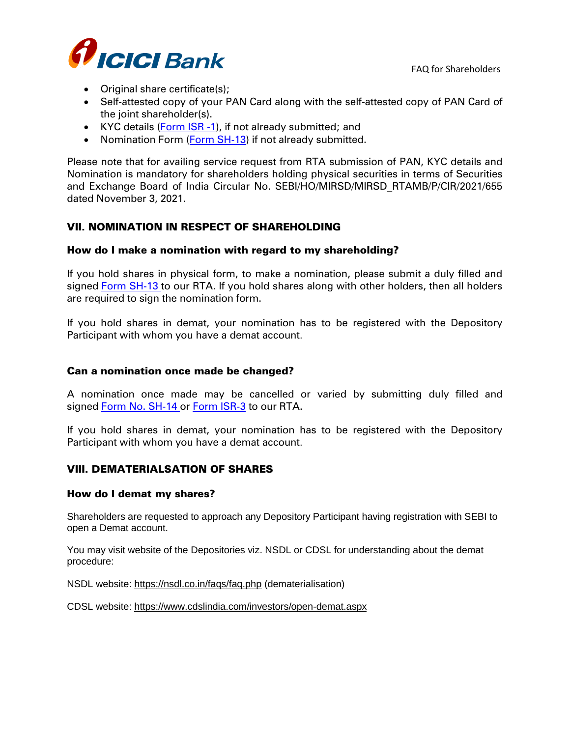

- Original share certificate(s);
- Self-attested copy of your PAN Card along with the self-attested copy of PAN Card of the joint shareholder(s).
- KYC details [\(Form ISR -1\)](file://///10.78.12.64/Ranganath%20Athreya/Prashant%20Mistry/RTA/SEBI%20Circular_Nov_3_2021_Mandatory%20furnishing%20of%20PAN,%20KYC%20details%20and%20Nomination%20by%20holder%20of%20physical%20securities/Form%20ISR-1_Request%20for%20Registering%20PAN-KYC%20details.pdf), if not already submitted; and
- Nomination Form [\(Form SH-13\)](file://///10.78.12.64/Ranganath%20Athreya/Prashant%20Mistry/RTA/SEBI%20Circular_Nov_3_2021_Mandatory%20furnishing%20of%20PAN,%20KYC%20details%20and%20Nomination%20by%20holder%20of%20physical%20securities/Form%20SH-13_Nomination%20Form.pdf) if not already submitted.

Please note that for availing service request from RTA submission of PAN, KYC details and Nomination is mandatory for shareholders holding physical securities in terms of Securities and Exchange Board of India Circular No. SEBI/HO/MIRSD/MIRSD\_RTAMB/P/CIR/2021/655 dated November 3, 2021.

# VII. NOMINATION IN RESPECT OF SHAREHOLDING

#### How do I make a nomination with regard to my shareholding?

If you hold shares in physical form, to make a nomination, please submit a duly filled and signed [Form SH-13](file:///D:/Form%20SH-13_Nomination%20Form.pdf) to our RTA. If you hold shares along with other holders, then all holders are required to sign the nomination form.

If you hold shares in demat, your nomination has to be registered with the Depository Participant with whom you have a demat account.

#### Can a nomination once made be changed?

A nomination once made may be cancelled or varied by submitting duly filled and signed [Form No. SH-14](file:///D:/Form%20SH-14_Cancellation%20of%20nomination.pdf) or [Form ISR-3](file://///10.78.12.64/Ranganath%20Athreya/Prashant%20Mistry/RTA/SEBI%20Circular_Nov_3_2021_Mandatory%20furnishing%20of%20PAN,%20KYC%20details%20and%20Nomination%20by%20holder%20of%20physical%20securities/Form%20ISR-3_Opting%20Out%20of%20Nomination.pdf) to our RTA.

If you hold shares in demat, your nomination has to be registered with the Depository Participant with whom you have a demat account.

#### VIII. DEMATERIALSATION OF SHARES

#### How do I demat my shares?

Shareholders are requested to approach any Depository Participant having registration with SEBI to open a Demat account.

You may visit website of the Depositories viz. NSDL or CDSL for understanding about the demat procedure:

NSDL website: <https://nsdl.co.in/faqs/faq.php> (dematerialisation)

CDSL website: <https://www.cdslindia.com/investors/open-demat.aspx>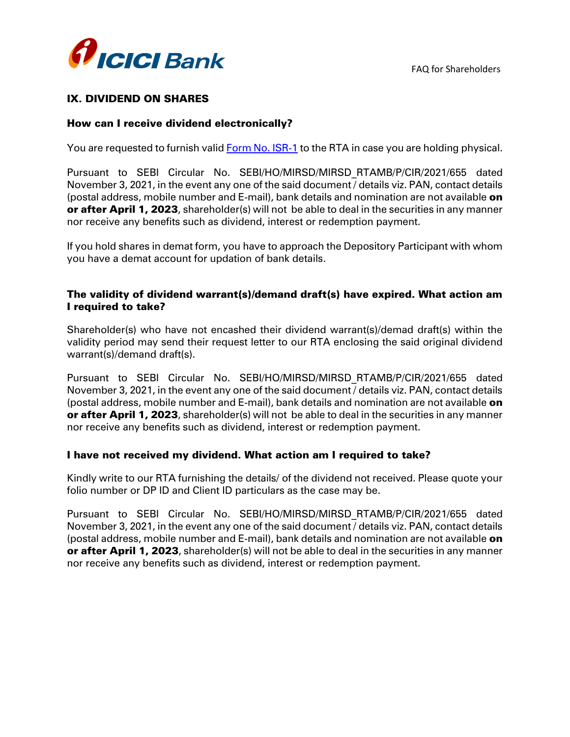

# IX. DIVIDEND ON SHARES

### How can I receive dividend electronically?

You are requested to furnish valid [Form No. ISR-1](file://///10.78.12.64/Ranganath%20Athreya/Prashant%20Mistry/RTA/SEBI%20Circular_Nov_3_2021_Mandatory%20furnishing%20of%20PAN,%20KYC%20details%20and%20Nomination%20by%20holder%20of%20physical%20securities/Form%20ISR-1_Request%20for%20Registering%20PAN-KYC%20details.pdf) to the RTA in case you are holding physical.

Pursuant to SEBI Circular No. SEBI/HO/MIRSD/MIRSD\_RTAMB/P/CIR/2021/655 dated November 3, 2021, in the event any one of the said document / details viz. PAN, contact details (postal address, mobile number and E-mail), bank details and nomination are not available on or after April 1, 2023, shareholder(s) will not be able to deal in the securities in any manner nor receive any benefits such as dividend, interest or redemption payment.

If you hold shares in demat form, you have to approach the Depository Participant with whom you have a demat account for updation of bank details.

### The validity of dividend warrant(s)/demand draft(s) have expired. What action am I required to take?

Shareholder(s) who have not encashed their dividend warrant(s)/demad draft(s) within the validity period may send their request letter to our RTA enclosing the said original dividend warrant(s)/demand draft(s).

Pursuant to SEBI Circular No. SEBI/HO/MIRSD/MIRSD\_RTAMB/P/CIR/2021/655 dated November 3, 2021, in the event any one of the said document / details viz. PAN, contact details (postal address, mobile number and E-mail), bank details and nomination are not available **on** or after April 1, 2023, shareholder(s) will not be able to deal in the securities in any manner nor receive any benefits such as dividend, interest or redemption payment.

#### I have not received my dividend. What action am I required to take?

Kindly write to our RTA furnishing the details/ of the dividend not received. Please quote your folio number or DP ID and Client ID particulars as the case may be.

Pursuant to SEBI Circular No. SEBI/HO/MIRSD/MIRSD\_RTAMB/P/CIR/2021/655 dated November 3, 2021, in the event any one of the said document / details viz. PAN, contact details (postal address, mobile number and E-mail), bank details and nomination are not available on or after April 1, 2023, shareholder(s) will not be able to deal in the securities in any manner nor receive any benefits such as dividend, interest or redemption payment.